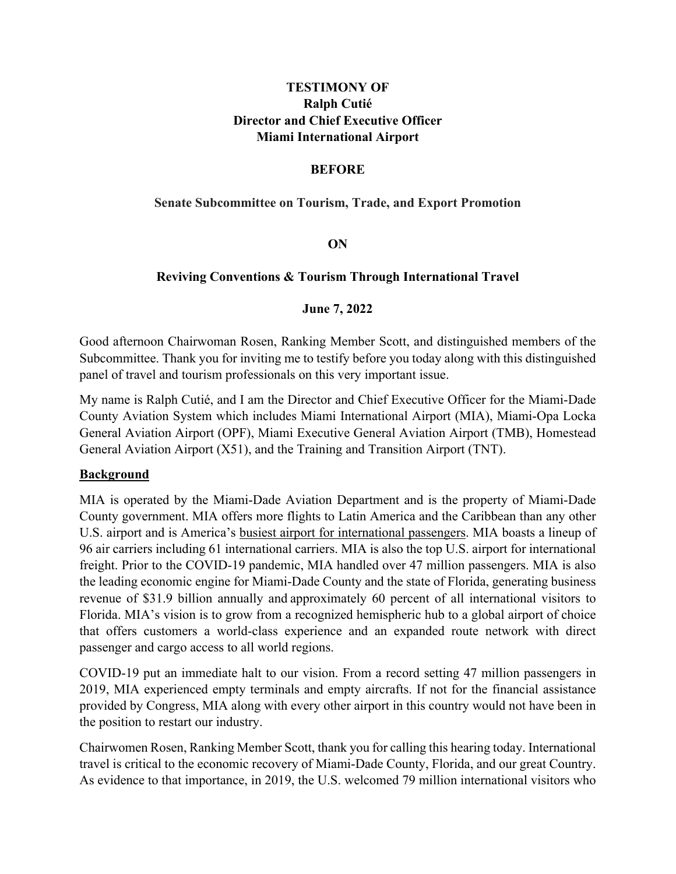## **TESTIMONY OF Ralph Cutié Director and Chief Executive Officer Miami International Airport**

#### **BEFORE**

#### **Senate Subcommittee on Tourism, Trade, and Export Promotion**

### **ON**

### **Reviving Conventions & Tourism Through International Travel**

#### **June 7, 2022**

Good afternoon Chairwoman Rosen, Ranking Member Scott, and distinguished members of the Subcommittee. Thank you for inviting me to testify before you today along with this distinguished panel of travel and tourism professionals on this very important issue.

My name is Ralph Cutié, and I am the Director and Chief Executive Officer for the Miami-Dade County Aviation System which includes Miami International Airport (MIA), Miami-Opa Locka General Aviation Airport (OPF), Miami Executive General Aviation Airport (TMB), Homestead General Aviation Airport (X51), and the Training and Transition Airport (TNT).

#### **Background**

MIA is operated by the Miami-Dade Aviation Department and is the property of Miami-Dade County government. MIA offers more flights to Latin America and the Caribbean than any other U.S. airport and is America's busiest airport for international passengers. MIA boasts a lineup of 96 air carriers including 61 international carriers. MIA is also the top U.S. airport for international freight. Prior to the COVID-19 pandemic, MIA handled over 47 million passengers. MIA is also the leading economic engine for Miami-Dade County and the state of Florida, generating business revenue of \$31.9 billion annually and approximately 60 percent of all international visitors to Florida. MIA's vision is to grow from a recognized hemispheric hub to a global airport of choice that offers customers a world-class experience and an expanded route network with direct passenger and cargo access to all world regions.

COVID-19 put an immediate halt to our vision. From a record setting 47 million passengers in 2019, MIA experienced empty terminals and empty aircrafts. If not for the financial assistance provided by Congress, MIA along with every other airport in this country would not have been in the position to restart our industry.

Chairwomen Rosen, Ranking Member Scott, thank you for calling this hearing today. International travel is critical to the economic recovery of Miami-Dade County, Florida, and our great Country. As evidence to that importance, in 2019, the U.S. welcomed 79 million international visitors who